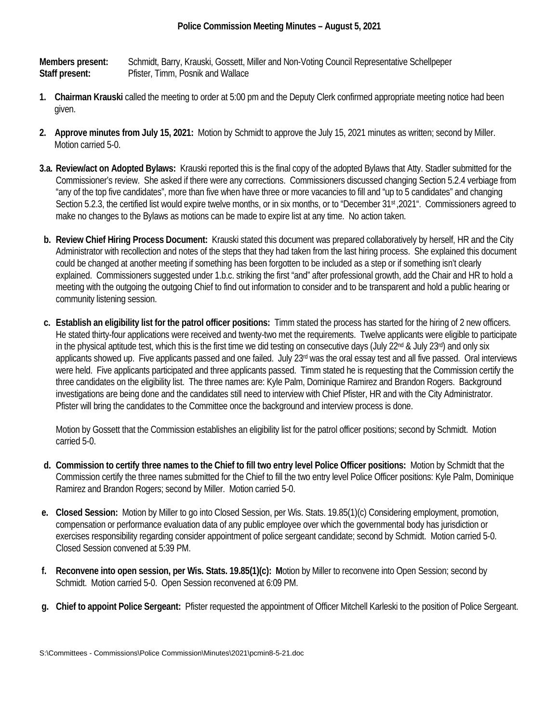**Members present:** Schmidt, Barry, Krauski, Gossett, Miller and Non-Voting Council Representative Schellpeper **Staff present:** Pfister, Timm, Posnik and Wallace

- **1. Chairman Krauski** called the meeting to order at 5:00 pm and the Deputy Clerk confirmed appropriate meeting notice had been given.
- **2. Approve minutes from July 15, 2021:** Motion by Schmidt to approve the July 15, 2021 minutes as written; second by Miller. Motion carried 5-0.
- **3.a. Review/act on Adopted Bylaws:** Krauski reported this is the final copy of the adopted Bylaws that Atty. Stadler submitted for the Commissioner's review. She asked if there were any corrections. Commissioners discussed changing Section 5.2.4 verbiage from "any of the top five candidates", more than five when have three or more vacancies to fill and "up to 5 candidates" and changing Section 5.2.3, the certified list would expire twelve months, or in six months, or to "December 31st ,2021". Commissioners agreed to make no changes to the Bylaws as motions can be made to expire list at any time. No action taken.
- **b. Review Chief Hiring Process Document:** Krauski stated this document was prepared collaboratively by herself, HR and the City Administrator with recollection and notes of the steps that they had taken from the last hiring process. She explained this document could be changed at another meeting if something has been forgotten to be included as a step or if something isn't clearly explained. Commissioners suggested under 1.b.c. striking the first "and" after professional growth, add the Chair and HR to hold a meeting with the outgoing the outgoing Chief to find out information to consider and to be transparent and hold a public hearing or community listening session.
- **c. Establish an eligibility list for the patrol officer positions:** Timm stated the process has started for the hiring of 2 new officers. He stated thirty-four applications were received and twenty-two met the requirements. Twelve applicants were eligible to participate in the physical aptitude test, which this is the first time we did testing on consecutive days (July  $22^{nd}$  & July  $23^{rd}$ ) and only six applicants showed up. Five applicants passed and one failed. July 23<sup>rd</sup> was the oral essay test and all five passed. Oral interviews were held. Five applicants participated and three applicants passed. Timm stated he is requesting that the Commission certify the three candidates on the eligibility list. The three names are: Kyle Palm, Dominique Ramirez and Brandon Rogers. Background investigations are being done and the candidates still need to interview with Chief Pfister, HR and with the City Administrator. Pfister will bring the candidates to the Committee once the background and interview process is done.

Motion by Gossett that the Commission establishes an eligibility list for the patrol officer positions; second by Schmidt. Motion carried 5-0.

- **d. Commission to certify three names to the Chief to fill two entry level Police Officer positions:** Motion by Schmidt that the Commission certify the three names submitted for the Chief to fill the two entry level Police Officer positions: Kyle Palm, Dominique Ramirez and Brandon Rogers; second by Miller. Motion carried 5-0.
- **e. Closed Session:** Motion by Miller to go into Closed Session, per Wis. Stats. 19.85(1)(c) Considering employment, promotion, compensation or performance evaluation data of any public employee over which the governmental body has jurisdiction or exercises responsibility regarding consider appointment of police sergeant candidate; second by Schmidt. Motion carried 5-0. Closed Session convened at 5:39 PM.
- **f. Reconvene into open session, per Wis. Stats. 19.85(1)(c): M**otion by Miller to reconvene into Open Session; second by Schmidt. Motion carried 5-0. Open Session reconvened at 6:09 PM.
- **g. Chief to appoint Police Sergeant:** Pfister requested the appointment of Officer Mitchell Karleski to the position of Police Sergeant.